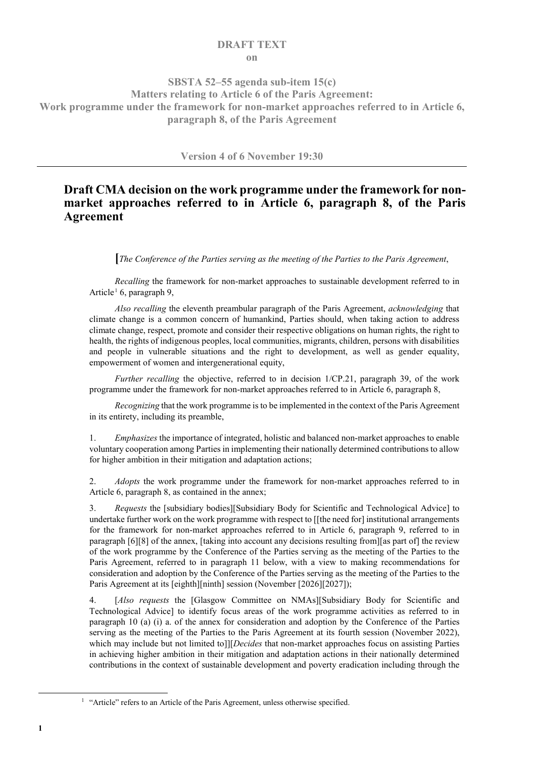#### **DRAFT TEXT on**

#### **SBSTA 52–55 agenda sub-item 15(c) Matters relating to Article 6 of the Paris Agreement: Work programme under the framework for non-market approaches referred to in Article 6, paragraph 8, of the Paris Agreement**

**Version 4 of 6 November 19:30**

## **Draft CMA decision on the work programme under the framework for nonmarket approaches referred to in Article 6, paragraph 8, of the Paris Agreement**

**[***The Conference of the Parties serving as the meeting of the Parties to the Paris Agreement*,

*Recalling* the framework for non-market approaches to sustainable development referred to in Article<sup>[1](#page-0-0)</sup> 6, paragraph 9,

*Also recalling* the eleventh preambular paragraph of the Paris Agreement, *acknowledging* that climate change is a common concern of humankind, Parties should, when taking action to address climate change, respect, promote and consider their respective obligations on human rights, the right to health, the rights of indigenous peoples, local communities, migrants, children, persons with disabilities and people in vulnerable situations and the right to development, as well as gender equality, empowerment of women and intergenerational equity,

*Further recalling* the objective, referred to in decision 1/CP.21, paragraph 39, of the work programme under the framework for non-market approaches referred to in Article 6, paragraph 8,

*Recognizing* that the work programme is to be implemented in the context of the Paris Agreement in its entirety, including its preamble,

1. *Emphasizes* the importance of integrated, holistic and balanced non-market approaches to enable voluntary cooperation among Parties in implementing their nationally determined contributions to allow for higher ambition in their mitigation and adaptation actions;

2. *Adopts* the work programme under the framework for non-market approaches referred to in Article 6, paragraph 8, as contained in the annex;

3. *Requests* the [subsidiary bodies][Subsidiary Body for Scientific and Technological Advice] to undertake further work on the work programme with respect to [[the need for] institutional arrangements for the framework for non-market approaches referred to in Article 6, paragraph 9, referred to in paragraph [6][8] of the annex, [taking into account any decisions resulting from][as part of] the review of the work programme by the Conference of the Parties serving as the meeting of the Parties to the Paris Agreement, referred to in paragraph 11 below, with a view to making recommendations for consideration and adoption by the Conference of the Parties serving as the meeting of the Parties to the Paris Agreement at its [eighth][ninth] session (November [2026][2027]);

[Also requests the [Glasgow Committee on NMAs][Subsidiary Body for Scientific and Technological Advice] to identify focus areas of the work programme activities as referred to in paragraph 10 (a) (i) a. of the annex for consideration and adoption by the Conference of the Parties serving as the meeting of the Parties to the Paris Agreement at its fourth session (November 2022), which may include but not limited to]][*Decides* that non-market approaches focus on assisting Parties in achieving higher ambition in their mitigation and adaptation actions in their nationally determined contributions in the context of sustainable development and poverty eradication including through the

<span id="page-0-0"></span><sup>&</sup>lt;sup>1</sup> "Article" refers to an Article of the Paris Agreement, unless otherwise specified.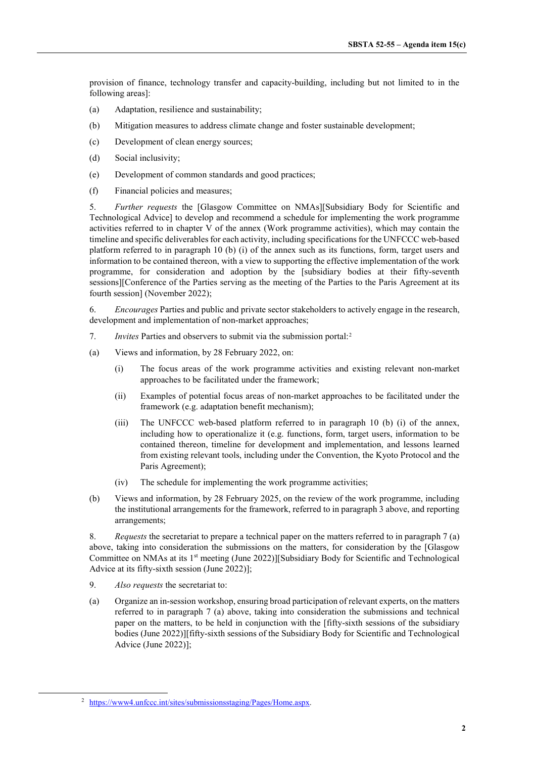provision of finance, technology transfer and capacity-building, including but not limited to in the following areas]:

- (a) Adaptation, resilience and sustainability;
- (b) Mitigation measures to address climate change and foster sustainable development;
- (c) Development of clean energy sources;
- (d) Social inclusivity;
- (e) Development of common standards and good practices;
- (f) Financial policies and measures;

5. *Further requests* the [Glasgow Committee on NMAs][Subsidiary Body for Scientific and Technological Advice] to develop and recommend a schedule for implementing the work programme activities referred to in chapter V of the annex (Work programme activities), which may contain the timeline and specific deliverables for each activity, including specifications for the UNFCCC web-based platform referred to in paragraph 10 (b) (i) of the annex such as its functions, form, target users and information to be contained thereon, with a view to supporting the effective implementation of the work programme, for consideration and adoption by the [subsidiary bodies at their fifty-seventh sessions][Conference of the Parties serving as the meeting of the Parties to the Paris Agreement at its fourth session] (November 2022);

6. *Encourages* Parties and public and private sector stakeholders to actively engage in the research, development and implementation of non-market approaches;

- 7. *Invites* Parties and observers to submit via the submission portal:[2](#page-1-0)
- (a) Views and information, by 28 February 2022, on:
	- (i) The focus areas of the work programme activities and existing relevant non-market approaches to be facilitated under the framework;
	- (ii) Examples of potential focus areas of non-market approaches to be facilitated under the framework (e.g. adaptation benefit mechanism);
	- (iii) The UNFCCC web-based platform referred to in paragraph 10 (b) (i) of the annex, including how to operationalize it (e.g. functions, form, target users, information to be contained thereon, timeline for development and implementation, and lessons learned from existing relevant tools, including under the Convention, the Kyoto Protocol and the Paris Agreement);
	- (iv) The schedule for implementing the work programme activities;
- (b) Views and information, by 28 February 2025, on the review of the work programme, including the institutional arrangements for the framework, referred to in paragraph 3 above, and reporting arrangements;

8. *Requests* the secretariat to prepare a technical paper on the matters referred to in paragraph 7 (a) above, taking into consideration the submissions on the matters, for consideration by the [Glasgow Committee on NMAs at its 1<sup>st</sup> meeting (June 2022)][Subsidiary Body for Scientific and Technological Advice at its fifty-sixth session (June 2022)];

- 9. *Also requests* the secretariat to:
- (a) Organize an in-session workshop, ensuring broad participation of relevant experts, on the matters referred to in paragraph 7 (a) above, taking into consideration the submissions and technical paper on the matters, to be held in conjunction with the [fifty-sixth sessions of the subsidiary bodies (June 2022)][fifty-sixth sessions of the Subsidiary Body for Scientific and Technological Advice (June 2022)];

<span id="page-1-0"></span> <sup>2</sup> [https://www4.unfccc.int/sites/submissionsstaging/Pages/Home.aspx.](https://www4.unfccc.int/sites/submissionsstaging/Pages/Home.aspx)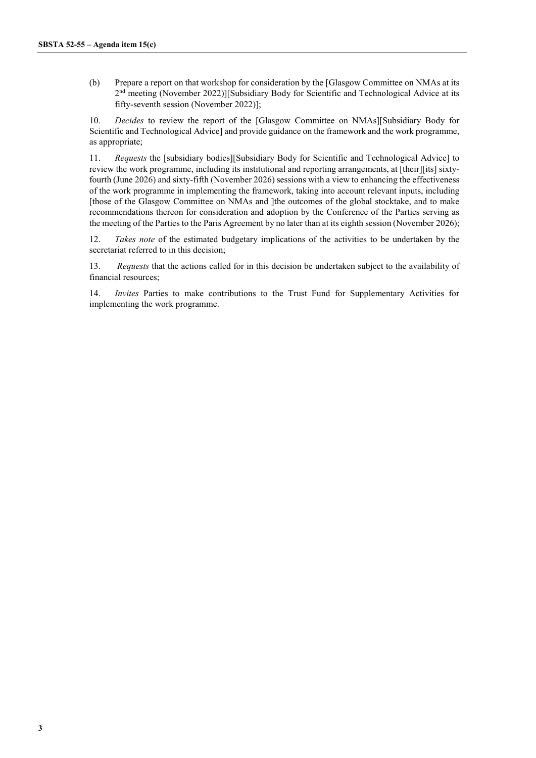(b) Prepare a report on that workshop for consideration by the [Glasgow Committee on NMAs at its 2<sup>nd</sup> meeting (November 2022)][Subsidiary Body for Scientific and Technological Advice at its fifty-seventh session (November 2022)];

10. *Decides* to review the report of the [Glasgow Committee on NMAs][Subsidiary Body for Scientific and Technological Advice] and provide guidance on the framework and the work programme, as appropriate;

11. *Requests* the [subsidiary bodies][Subsidiary Body for Scientific and Technological Advice] to review the work programme, including its institutional and reporting arrangements, at [their][its] sixtyfourth (June 2026) and sixty-fifth (November 2026) sessions with a view to enhancing the effectiveness of the work programme in implementing the framework, taking into account relevant inputs, including [those of the Glasgow Committee on NMAs and ]the outcomes of the global stocktake, and to make recommendations thereon for consideration and adoption by the Conference of the Parties serving as the meeting of the Parties to the Paris Agreement by no later than at its eighth session (November 2026);

12. *Takes note* of the estimated budgetary implications of the activities to be undertaken by the secretariat referred to in this decision;

13. *Requests* that the actions called for in this decision be undertaken subject to the availability of financial resources;

14. *Invites* Parties to make contributions to the Trust Fund for Supplementary Activities for implementing the work programme.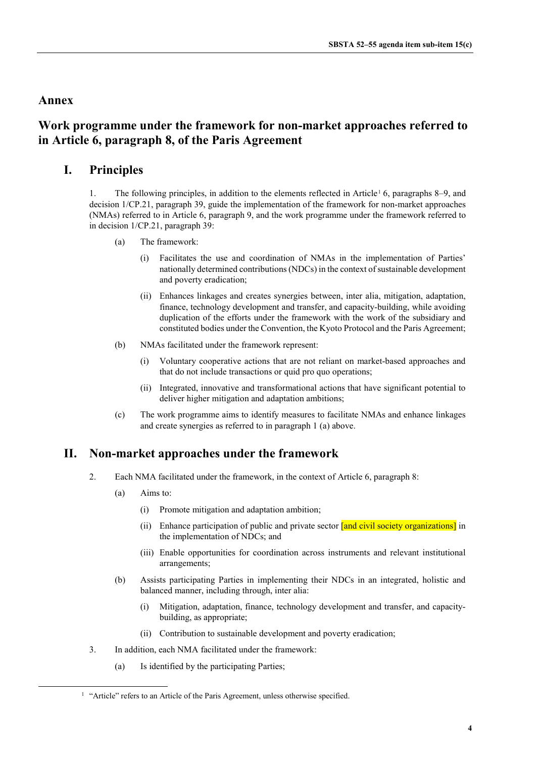## **Annex**

# **Work programme under the framework for non-market approaches referred to in Article 6, paragraph 8, of the Paris Agreement**

## **I. Principles**

[1](#page-3-0). The following principles, in addition to the elements reflected in Article<sup>1</sup> 6, paragraphs 8–9, and decision 1/CP.21, paragraph 39, guide the implementation of the framework for non-market approaches (NMAs) referred to in Article 6, paragraph 9, and the work programme under the framework referred to in decision 1/CP.21, paragraph 39:

- (a) The framework:
	- (i) Facilitates the use and coordination of NMAs in the implementation of Parties' nationally determined contributions (NDCs) in the context of sustainable development and poverty eradication;
	- (ii) Enhances linkages and creates synergies between, inter alia, mitigation, adaptation, finance, technology development and transfer, and capacity-building, while avoiding duplication of the efforts under the framework with the work of the subsidiary and constituted bodies under the Convention, the Kyoto Protocol and the Paris Agreement;
- (b) NMAs facilitated under the framework represent:
	- (i) Voluntary cooperative actions that are not reliant on market-based approaches and that do not include transactions or quid pro quo operations;
	- (ii) Integrated, innovative and transformational actions that have significant potential to deliver higher mitigation and adaptation ambitions;
- (c) The work programme aims to identify measures to facilitate NMAs and enhance linkages and create synergies as referred to in paragraph 1 (a) above.

## **II. Non-market approaches under the framework**

- 2. Each NMA facilitated under the framework, in the context of Article 6, paragraph 8:
	- (a) Aims to:
		- (i) Promote mitigation and adaptation ambition;
		- (ii) Enhance participation of public and private sector **[and civil society organizations**] in the implementation of NDCs; and
		- (iii) Enable opportunities for coordination across instruments and relevant institutional arrangements;
	- (b) Assists participating Parties in implementing their NDCs in an integrated, holistic and balanced manner, including through, inter alia:
		- (i) Mitigation, adaptation, finance, technology development and transfer, and capacitybuilding, as appropriate;
		- (ii) Contribution to sustainable development and poverty eradication;
- 3. In addition, each NMA facilitated under the framework:
	- (a) Is identified by the participating Parties;

<span id="page-3-0"></span><sup>&</sup>lt;sup>1</sup> "Article" refers to an Article of the Paris Agreement, unless otherwise specified.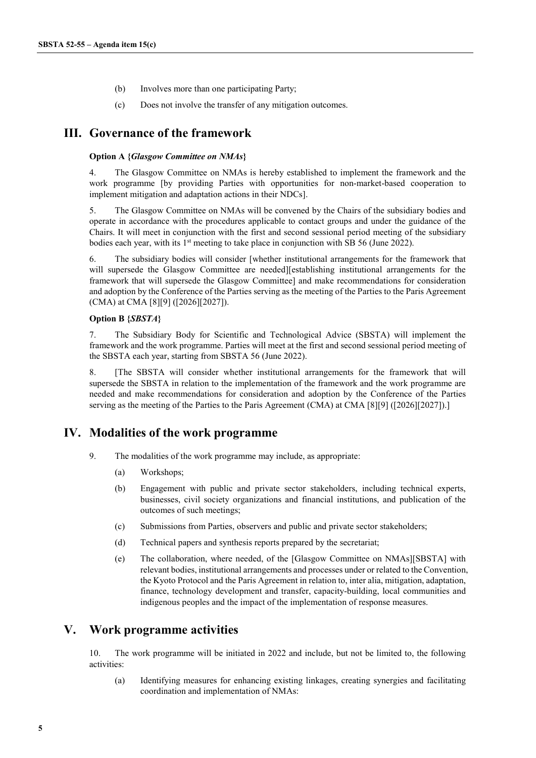- (b) Involves more than one participating Party;
- (c) Does not involve the transfer of any mitigation outcomes.

#### **III. Governance of the framework**

#### **Option A {***Glasgow Committee on NMAs***}**

4. The Glasgow Committee on NMAs is hereby established to implement the framework and the work programme [by providing Parties with opportunities for non-market-based cooperation to implement mitigation and adaptation actions in their NDCs].

5. The Glasgow Committee on NMAs will be convened by the Chairs of the subsidiary bodies and operate in accordance with the procedures applicable to contact groups and under the guidance of the Chairs. It will meet in conjunction with the first and second sessional period meeting of the subsidiary bodies each year, with its 1<sup>st</sup> meeting to take place in conjunction with SB 56 (June 2022).

6. The subsidiary bodies will consider [whether institutional arrangements for the framework that will supersede the Glasgow Committee are needed][establishing institutional arrangements for the framework that will supersede the Glasgow Committee] and make recommendations for consideration and adoption by the Conference of the Parties serving as the meeting of the Parties to the Paris Agreement (CMA) at CMA [8][9] ([2026][2027]).

#### **Option B {***SBSTA***}**

7. The Subsidiary Body for Scientific and Technological Advice (SBSTA) will implement the framework and the work programme. Parties will meet at the first and second sessional period meeting of the SBSTA each year, starting from SBSTA 56 (June 2022).

8. [The SBSTA will consider whether institutional arrangements for the framework that will supersede the SBSTA in relation to the implementation of the framework and the work programme are needed and make recommendations for consideration and adoption by the Conference of the Parties serving as the meeting of the Parties to the Paris Agreement (CMA) at CMA [8][9] ([2026][2027]).]

### **IV. Modalities of the work programme**

- 9. The modalities of the work programme may include, as appropriate:
	- (a) Workshops;
	- (b) Engagement with public and private sector stakeholders, including technical experts, businesses, civil society organizations and financial institutions, and publication of the outcomes of such meetings;
	- (c) Submissions from Parties, observers and public and private sector stakeholders;
	- (d) Technical papers and synthesis reports prepared by the secretariat;
	- (e) The collaboration, where needed, of the [Glasgow Committee on NMAs][SBSTA] with relevant bodies, institutional arrangements and processes under or related to the Convention, the Kyoto Protocol and the Paris Agreement in relation to, inter alia, mitigation, adaptation, finance, technology development and transfer, capacity-building, local communities and indigenous peoples and the impact of the implementation of response measures.

### **V. Work programme activities**

10. The work programme will be initiated in 2022 and include, but not be limited to, the following activities:

(a) Identifying measures for enhancing existing linkages, creating synergies and facilitating coordination and implementation of NMAs: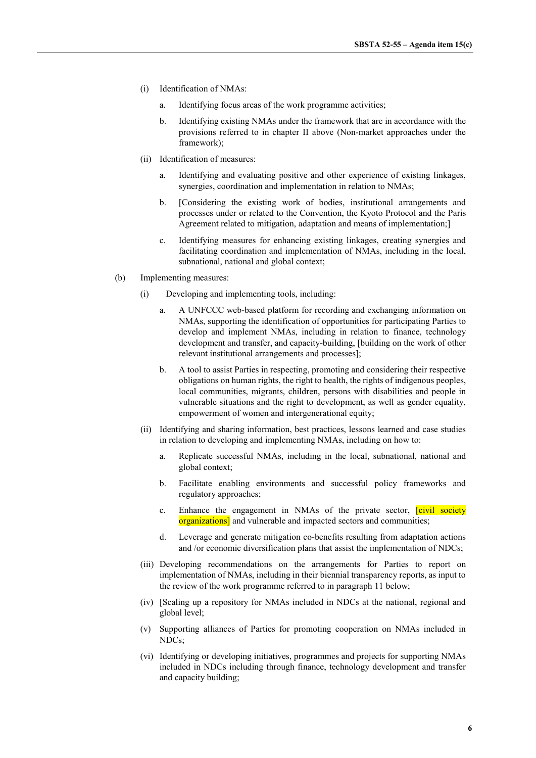- (i) Identification of NMAs:
	- a. Identifying focus areas of the work programme activities;
	- b. Identifying existing NMAs under the framework that are in accordance with the provisions referred to in chapter II above (Non-market approaches under the framework);
- (ii) Identification of measures:
	- a. Identifying and evaluating positive and other experience of existing linkages, synergies, coordination and implementation in relation to NMAs;
	- b. [Considering the existing work of bodies, institutional arrangements and processes under or related to the Convention, the Kyoto Protocol and the Paris Agreement related to mitigation, adaptation and means of implementation;]
	- c. Identifying measures for enhancing existing linkages, creating synergies and facilitating coordination and implementation of NMAs, including in the local, subnational, national and global context;
- (b) Implementing measures:
	- (i) Developing and implementing tools, including:
		- a. A UNFCCC web-based platform for recording and exchanging information on NMAs, supporting the identification of opportunities for participating Parties to develop and implement NMAs, including in relation to finance, technology development and transfer, and capacity-building, [building on the work of other relevant institutional arrangements and processes];
		- b. A tool to assist Parties in respecting, promoting and considering their respective obligations on human rights, the right to health, the rights of indigenous peoples, local communities, migrants, children, persons with disabilities and people in vulnerable situations and the right to development, as well as gender equality, empowerment of women and intergenerational equity;
	- (ii) Identifying and sharing information, best practices, lessons learned and case studies in relation to developing and implementing NMAs, including on how to:
		- a. Replicate successful NMAs, including in the local, subnational, national and global context;
		- b. Facilitate enabling environments and successful policy frameworks and regulatory approaches;
		- c. Enhance the engagement in NMAs of the private sector. **[civil society** organizations] and vulnerable and impacted sectors and communities;
		- d. Leverage and generate mitigation co-benefits resulting from adaptation actions and /or economic diversification plans that assist the implementation of NDCs;
	- (iii) Developing recommendations on the arrangements for Parties to report on implementation of NMAs, including in their biennial transparency reports, as input to the review of the work programme referred to in paragraph 11 below;
	- (iv) [Scaling up a repository for NMAs included in NDCs at the national, regional and global level;
	- (v) Supporting alliances of Parties for promoting cooperation on NMAs included in NDCs;
	- (vi) Identifying or developing initiatives, programmes and projects for supporting NMAs included in NDCs including through finance, technology development and transfer and capacity building;